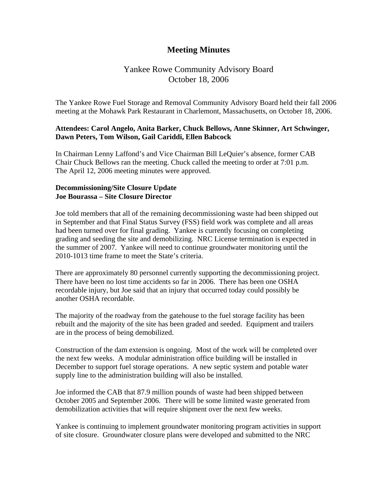## **Meeting Minutes**

## Yankee Rowe Community Advisory Board October 18, 2006

The Yankee Rowe Fuel Storage and Removal Community Advisory Board held their fall 2006 meeting at the Mohawk Park Restaurant in Charlemont, Massachusetts, on October 18, 2006.

## **Attendees: Carol Angelo, Anita Barker, Chuck Bellows, Anne Skinner, Art Schwinger, Dawn Peters, Tom Wilson, Gail Cariddi, Ellen Babcock**

In Chairman Lenny Laffond's and Vice Chairman Bill LeQuier's absence, former CAB Chair Chuck Bellows ran the meeting. Chuck called the meeting to order at 7:01 p.m. The April 12, 2006 meeting minutes were approved.

## **Decommissioning/Site Closure Update Joe Bourassa – Site Closure Director**

Joe told members that all of the remaining decommissioning waste had been shipped out in September and that Final Status Survey (FSS) field work was complete and all areas had been turned over for final grading. Yankee is currently focusing on completing grading and seeding the site and demobilizing. NRC License termination is expected in the summer of 2007. Yankee will need to continue groundwater monitoring until the 2010-1013 time frame to meet the State's criteria.

There are approximately 80 personnel currently supporting the decommissioning project. There have been no lost time accidents so far in 2006. There has been one OSHA recordable injury, but Joe said that an injury that occurred today could possibly be another OSHA recordable.

The majority of the roadway from the gatehouse to the fuel storage facility has been rebuilt and the majority of the site has been graded and seeded. Equipment and trailers are in the process of being demobilized.

Construction of the dam extension is ongoing. Most of the work will be completed over the next few weeks. A modular administration office building will be installed in December to support fuel storage operations. A new septic system and potable water supply line to the administration building will also be installed.

Joe informed the CAB that 87.9 million pounds of waste had been shipped between October 2005 and September 2006. There will be some limited waste generated from demobilization activities that will require shipment over the next few weeks.

Yankee is continuing to implement groundwater monitoring program activities in support of site closure. Groundwater closure plans were developed and submitted to the NRC